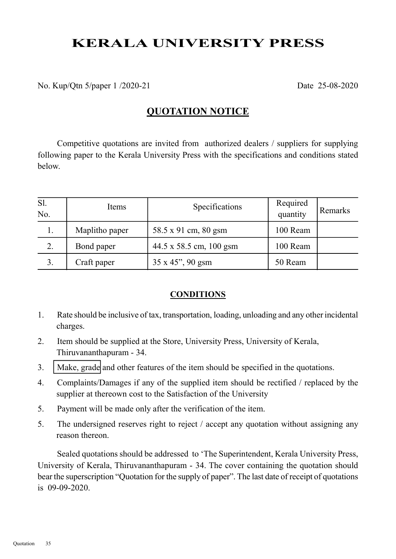# KERALA UNIVERSITY PRESS

No. Kup/Qtn 5/paper 1 /2020-21 Date 25-08-2020

### QUOTATION NOTICE

Competitive quotations are invited from authorized dealers / suppliers for supplying following paper to the Kerala University Press with the specifications and conditions stated below.

| Sl.<br>No. | Items          | Specifications           | Required<br>quantity | Remarks |
|------------|----------------|--------------------------|----------------------|---------|
|            | Maplitho paper | 58.5 x 91 cm, 80 gsm     | 100 Ream             |         |
| 2.         | Bond paper     | 44.5 x 58.5 cm, 100 gsm  | 100 Ream             |         |
| 3.         | Craft paper    | $35 \times 45$ ", 90 gsm | 50 Ream              |         |

#### **CONDITIONS**

- 1. Rate should be inclusive of tax, transportation, loading, unloading and any other incidental charges.
- 2. Item should be supplied at the Store, University Press, University of Kerala, Thiruvananthapuram - 34.
- 3. Make, grade and other features of the item should be specified in the quotations.
- 4. Complaints/Damages if any of the supplied item should be rectified / replaced by the supplier at thereown cost to the Satisfaction of the University
- 5. Payment will be made only after the verification of the item.
- 5. The undersigned reserves right to reject / accept any quotation without assigning any reason thereon.

Sealed quotations should be addressed to 'The Superintendent, Kerala University Press, University of Kerala, Thiruvananthapuram - 34. The cover containing the quotation should bear the superscription "Quotation for the supply of paper". The last date of receipt of quotations is 09-09-2020.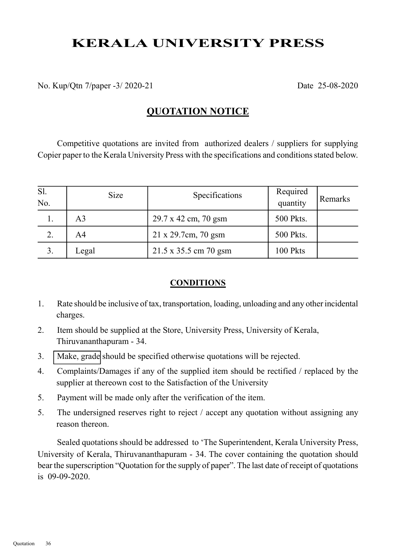# KERALA UNIVERSITY PRESS

No. Kup/Qtn 7/paper -3/ 2020-21 Date 25-08-2020

### QUOTATION NOTICE

Competitive quotations are invited from authorized dealers / suppliers for supplying Copier paper to the Kerala University Press with the specifications and conditions stated below.

| Sl.<br>No. | <b>Size</b> | Specifications              | Required<br>quantity | Remarks |
|------------|-------------|-----------------------------|----------------------|---------|
| 1.         | A3          | 29.7 x 42 cm, 70 gsm        | 500 Pkts.            |         |
| 2.         | A4          | $21 \times 29.7$ cm, 70 gsm | 500 Pkts.            |         |
| 3.         | Legal       | 21.5 x 35.5 cm 70 gsm       | 100 Pkts             |         |

#### **CONDITIONS**

- 1. Rate should be inclusive of tax, transportation, loading, unloading and any other incidental charges.
- 2. Item should be supplied at the Store, University Press, University of Kerala, Thiruvananthapuram - 34.
- 3. Make, grade should be specified otherwise quotations will be rejected.
- 4. Complaints/Damages if any of the supplied item should be rectified / replaced by the supplier at thereown cost to the Satisfaction of the University
- 5. Payment will be made only after the verification of the item.
- 5. The undersigned reserves right to reject / accept any quotation without assigning any reason thereon.

Sealed quotations should be addressed to 'The Superintendent, Kerala University Press, University of Kerala, Thiruvananthapuram - 34. The cover containing the quotation should bear the superscription "Quotation for the supply of paper". The last date of receipt of quotations is 09-09-2020.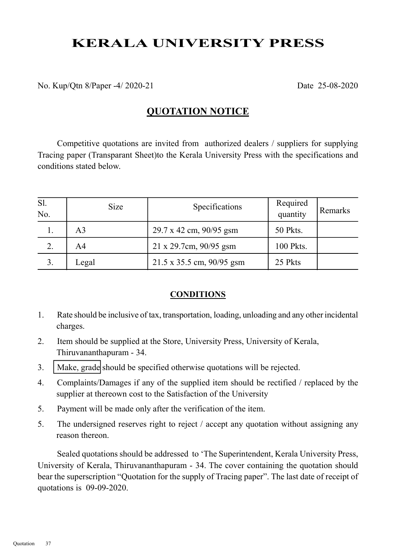# KERALA UNIVERSITY PRESS

No. Kup/Qtn 8/Paper -4/ 2020-21 Date 25-08-2020

### QUOTATION NOTICE

Competitive quotations are invited from authorized dealers / suppliers for supplying Tracing paper (Transparant Sheet)to the Kerala University Press with the specifications and conditions stated below.

| Sl.<br>No. | <b>Size</b>    | Specifications            | Required<br>quantity | Remarks |
|------------|----------------|---------------------------|----------------------|---------|
| 1.         | A <sub>3</sub> | 29.7 x 42 cm, 90/95 gsm   | 50 Pkts.             |         |
| 2.         | A4             | 21 x 29.7cm, 90/95 gsm    | 100 Pkts.            |         |
| 3.         | Legal          | 21.5 x 35.5 cm, 90/95 gsm | 25 Pkts              |         |

#### **CONDITIONS**

- 1. Rate should be inclusive of tax, transportation, loading, unloading and any other incidental charges.
- 2. Item should be supplied at the Store, University Press, University of Kerala, Thiruvananthapuram - 34.
- 3. Make, grade should be specified otherwise quotations will be rejected.
- 4. Complaints/Damages if any of the supplied item should be rectified / replaced by the supplier at thereown cost to the Satisfaction of the University
- 5. Payment will be made only after the verification of the item.
- 5. The undersigned reserves right to reject / accept any quotation without assigning any reason thereon.

Sealed quotations should be addressed to 'The Superintendent, Kerala University Press, University of Kerala, Thiruvananthapuram - 34. The cover containing the quotation should bear the superscription "Quotation for the supply of Tracing paper". The last date of receipt of quotations is 09-09-2020.